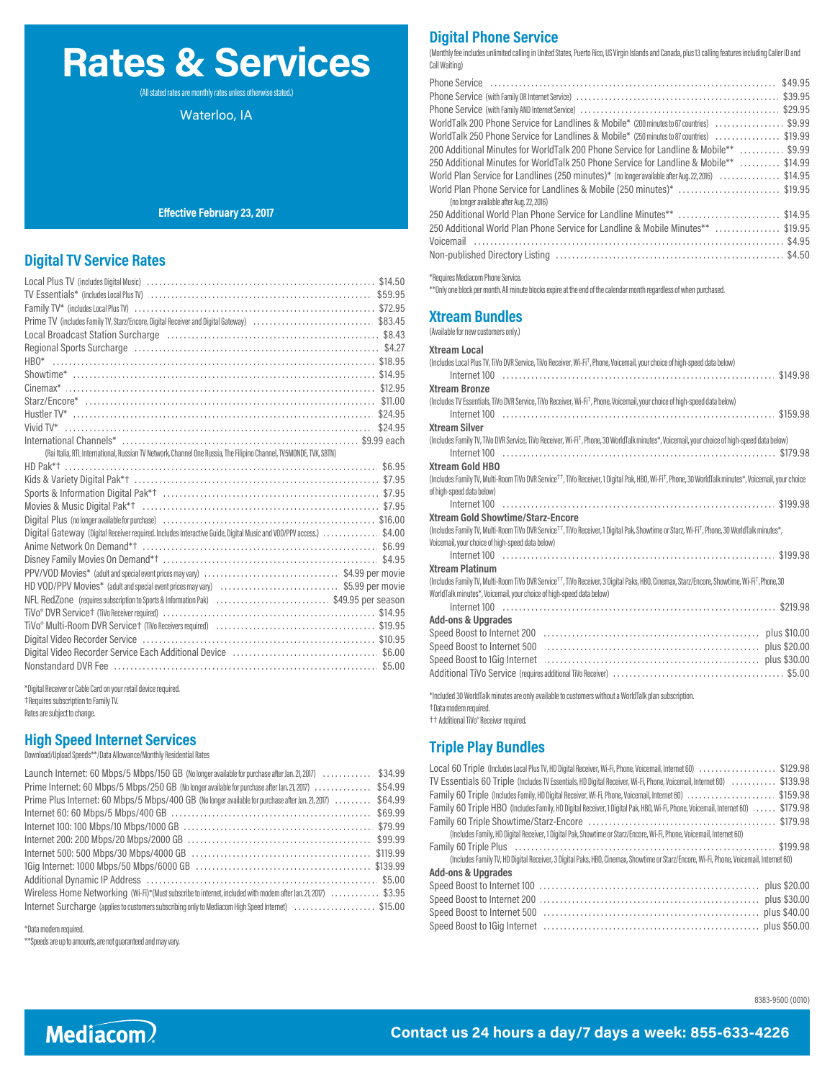# **Rates & Services**

(All stated rates are monthly rates unless otherwise stated.)

Waterloo, IA

#### **Effective February 23, 2017**

#### **Digital TV Service Rates**

|                                                                                                                                                                                                                                | *Requires Mediacom Phone Service.        |
|--------------------------------------------------------------------------------------------------------------------------------------------------------------------------------------------------------------------------------|------------------------------------------|
| TV Essentials* (includes Local Plus TV) (and according to the content of the content of the step of the step of the step of the step of the step of the step of the step of the step of the step of the step of the step of th | **Only one block per month. All minu     |
|                                                                                                                                                                                                                                |                                          |
| Prime TV (includes Family TV, Starz/Encore, Digital Receiver and Digital Gateway) \$83.45                                                                                                                                      | <b>Xtream Bundles</b>                    |
| Local Broadcast Station Surcharge (and according to the control of the \$8.43                                                                                                                                                  | (Available for new customers only.)      |
|                                                                                                                                                                                                                                | <b>Xtream Local</b>                      |
|                                                                                                                                                                                                                                | (Includes Local Plus TV, TiVo DVR Se     |
|                                                                                                                                                                                                                                | Internet $100$                           |
|                                                                                                                                                                                                                                | <b>Xtream Bronze</b>                     |
|                                                                                                                                                                                                                                | (Includes TV Essentials, TiVo DVR Se     |
|                                                                                                                                                                                                                                | Internet $100$                           |
|                                                                                                                                                                                                                                | <b>Xtream Silver</b>                     |
|                                                                                                                                                                                                                                | (Includes Family TV, TiVo DVR Servic     |
| (Rai Italia, RTL International, Russian TV Network, Channel One Russia, The Filipino Channel, TV5MONDE, TVK, SBTN)                                                                                                             | Internet $100$                           |
|                                                                                                                                                                                                                                | <b>Xtream Gold HBO</b>                   |
|                                                                                                                                                                                                                                | (Includes Family TV, Multi-Room TiV      |
|                                                                                                                                                                                                                                | of high-speed data below)                |
|                                                                                                                                                                                                                                | Internet $100$                           |
|                                                                                                                                                                                                                                | <b>Xtream Gold Showtime</b>              |
| Digital Gateway (Digital Receiver required. Includes Interactive Guide, Digital Music and VOD/PPV access.)  \$4.00                                                                                                             | (Includes Family TV, Multi-Room TiV      |
|                                                                                                                                                                                                                                | Voicemail, your choice of high-speer     |
|                                                                                                                                                                                                                                | Internet $100$<br><b>Xtream Platinum</b> |
|                                                                                                                                                                                                                                | (Includes Family TV, Multi-Room TiV      |
| HD VOD/PPV Movies* (adult and special event prices may vary) \$5.99 per movie                                                                                                                                                  | WorldTalk minutes*, Voicemail, you       |
| NFL RedZone (requires subscription to Sports & Information Pak) \$49.95 per season                                                                                                                                             | Internet $100$                           |
|                                                                                                                                                                                                                                | <b>Add-ons &amp; Upgrades</b>            |
|                                                                                                                                                                                                                                | Speed Boost to Internet                  |
|                                                                                                                                                                                                                                | Speed Boost to Internet                  |
|                                                                                                                                                                                                                                | Speed Boost to 1Gia Inte                 |
|                                                                                                                                                                                                                                | Inditional TiVo Service                  |
|                                                                                                                                                                                                                                |                                          |

\*Digital Receiver or Cable Card on your retail device required. †Requires subscription to Family TV. Rates are subject to change.

#### **High Speed Internet Services**

Download/Upload Speeds\*\*/Data Allowance/Monthly Residential Rates

| Launch Internet: 60 Mbps/5 Mbps/150 GB (No longer available for purchase after Jan. 21, 2017) \$34.99         | <b>LUGGEOU THUIR UNIQUES</b>                               |
|---------------------------------------------------------------------------------------------------------------|------------------------------------------------------------|
| Prime Internet: 60 Mbps/5 Mbps/250 GB (No longer available for purchase after Jan. 21, 2017)  \$54.99         | TV Essentials 60 Triple                                    |
| Prime Plus Internet: 60 Mbps/5 Mbps/400 GB (No longer available for purchase after Jan. 21, 2017)  \$64.99    | Family 60 Triple (Include                                  |
|                                                                                                               | Family 60 Triple HBO (                                     |
|                                                                                                               | Family 60 Triple Show                                      |
|                                                                                                               | (Includes Family, HD Digi                                  |
|                                                                                                               | Family 60 Triple Plus                                      |
|                                                                                                               | (Includes Family TV, HD D<br><b>Add-ons &amp; Upgrades</b> |
|                                                                                                               | Speed Boost to Intern                                      |
| Wireless Home Networking (Wi-Fi)*(Must subscribe to internet, included with modem after Jan. 21, 2017) \$3.95 |                                                            |
| Internet Surcharge (applies to customers subscribing only to Mediacom High Speed Internet) \$15.00            | Speed Boost to Interne<br>Spood Roact to Intorn            |

\*Data modem required.

\*\*Speeds are up to amounts, are not guaranteed and may vary.

### **Digital Phone Service**

(Monthly fee includes unlimited calling in United States, Puerto Rico, US Virgin Islands and Canada, plus 13 calling features including Caller ID and Call Waiting)

| WorldTalk 200 Phone Service for Landlines & Mobile* (200 minutes to 67 countries) \$9.99                            |
|---------------------------------------------------------------------------------------------------------------------|
| WorldTalk 250 Phone Service for Landlines & Mobile* (250 minutes to 87 countries) \$19.99                           |
| 200 Additional Minutes for WorldTalk 200 Phone Service for Landline & Mobile**  \$9.99                              |
| 250 Additional Minutes for WorldTalk 250 Phone Service for Landline & Mobile**  \$14.99                             |
| World Plan Service for Landlines (250 minutes)* (no longer available after Aug. 22, 2016) \$14.95                   |
| World Plan Phone Service for Landlines & Mobile (250 minutes)* \$19.95<br>(no longer available after Aug. 22, 2016) |
| 250 Additional World Plan Phone Service for Landline Minutes** \$14.95                                              |
| 250 Additional World Plan Phone Service for Landline & Mobile Minutes** \$19.95                                     |
|                                                                                                                     |
|                                                                                                                     |

\*Requires Mediacom Phone Service.

\*\*Only one block per month. All minute blocks expire at the end of the calendar month regardless of when purchased.

# **Xtream Bundles**

| <b>Xtream Local</b>                                                                                                                                                                                                                          |
|----------------------------------------------------------------------------------------------------------------------------------------------------------------------------------------------------------------------------------------------|
| (Includes Local Plus TV, TiVo DVR Service, TiVo Receiver, Wi-Fi <sup>+</sup> , Phone, Voicemail, your choice of high-speed data below)                                                                                                       |
|                                                                                                                                                                                                                                              |
| <b>Xtream Bronze</b>                                                                                                                                                                                                                         |
| (Includes TV Essentials, TiVo DVR Service, TiVo Receiver, Wi-Fi <sup>+</sup> , Phone, Voicemail, your choice of high-speed data below)                                                                                                       |
|                                                                                                                                                                                                                                              |
| <b>Xtream Silver</b>                                                                                                                                                                                                                         |
| (Includes Family TV, TiVo DVR Service, TiVo Receiver, Wi-Fi <sup>+</sup> , Phone, 30 WorldTalk minutes*, Voicemail, your choice of high-speed data below)                                                                                    |
|                                                                                                                                                                                                                                              |
| <b>Xtream Gold HBO</b>                                                                                                                                                                                                                       |
| (Includes Family TV, Multi-Room TiVo DVR Service <sup>+†</sup> , TiVo Receiver, 1 Digital Pak, HBO, Wi-Fi <sup>+</sup> , Phone, 30 WorldTalk minutes*, Voicemail, your choice                                                                |
| of high-speed data below)                                                                                                                                                                                                                    |
|                                                                                                                                                                                                                                              |
| Xtream Gold Showtime/Starz-Encore                                                                                                                                                                                                            |
| (Includes Family TV, Multi-Room TiVo DVR Service <sup>+†</sup> , TiVo Receiver, 1 Digital Pak, Showtime or Starz, Wi-Fi <sup>+</sup> , Phone, 30 WorldTalk minutes*,                                                                         |
| Voicemail, your choice of high-speed data below)                                                                                                                                                                                             |
|                                                                                                                                                                                                                                              |
| <b>Xtream Platinum</b>                                                                                                                                                                                                                       |
| (Includes Family TV, Multi-Room TiVo DVR Service <sup>++</sup> , TiVo Receiver, 3 Digital Paks, HBO, Cinemax, Starz/Encore, Showtime, Wi-Fi <sup>+</sup> , Phone, 30<br>WorldTalk minutes*, Voicemail, your choice of high-speed data below) |
|                                                                                                                                                                                                                                              |
| <b>Add-ons &amp; Upgrades</b>                                                                                                                                                                                                                |
|                                                                                                                                                                                                                                              |
|                                                                                                                                                                                                                                              |
| Speed Boost to 1Gig Internet <b>constructs</b> and construct of the state of the state of the \$30.00                                                                                                                                        |
|                                                                                                                                                                                                                                              |
| *Included 30 WorldTalk minutes are only available to customers without a WorldTalk plan subscription.                                                                                                                                        |

Data modem required. †

Additional TiVo® Receiver required. ††

## **Triple Play Bundles**

| Local 60 Triple (Includes Local Plus TV, HD Digital Receiver, Wi-Fi, Phone, Voicemail, Internet 60) \$129.98                            |
|-----------------------------------------------------------------------------------------------------------------------------------------|
| TV Essentials 60 Triple (Includes TV Essentials, HD Digital Receiver, Wi-Fi, Phone, Voicemail, Internet 60) \$139.98                    |
| Family 60 Triple (Includes Family, HD Digital Receiver, Wi-Fi, Phone, Voicemail, Internet 60) \$159.98                                  |
| Family 60 Triple HBO (Includes Family, HD Digital Receiver, 1 Digital Pak, HBO, Wi-Fi, Phone, Voicemail, Internet 60) \$179.98          |
|                                                                                                                                         |
| (Includes Family, HD Digital Receiver, 1 Digital Pak, Showtime or Starz/Encore, Wi-Fi, Phone, Voicemail, Internet 60)                   |
|                                                                                                                                         |
| (Includes Family TV, HD Digital Receiver, 3 Digital Paks, HBO, Cinemax, Showtime or Starz/Encore, Wi-Fi, Phone, Voicemail, Internet 60) |
| <b>Add-ons &amp; Upgrades</b>                                                                                                           |
|                                                                                                                                         |
|                                                                                                                                         |
|                                                                                                                                         |
|                                                                                                                                         |
|                                                                                                                                         |

8383-9500 (0010)